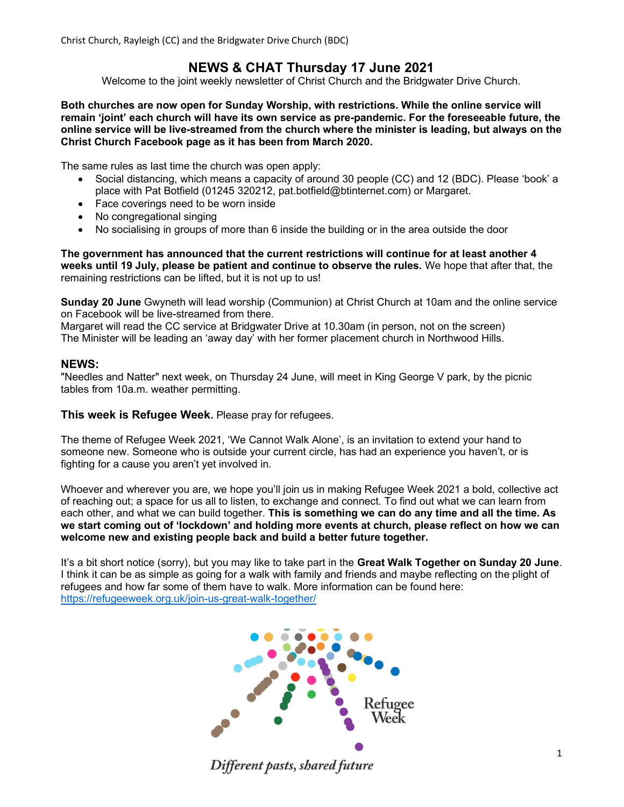# NEWS & CHAT Thursday 17 June 2021

Welcome to the joint weekly newsletter of Christ Church and the Bridgwater Drive Church.

Both churches are now open for Sunday Worship, with restrictions. While the online service will remain 'joint' each church will have its own service as pre-pandemic. For the foreseeable future, the online service will be live-streamed from the church where the minister is leading, but always on the Christ Church Facebook page as it has been from March 2020.

The same rules as last time the church was open apply:

- Social distancing, which means a capacity of around 30 people (CC) and 12 (BDC). Please 'book' a place with Pat Botfield (01245 320212, pat.botfield@btinternet.com) or Margaret.
- Face coverings need to be worn inside
- No congregational singing
- No socialising in groups of more than 6 inside the building or in the area outside the door

The government has announced that the current restrictions will continue for at least another 4 weeks until 19 July, please be patient and continue to observe the rules. We hope that after that, the remaining restrictions can be lifted, but it is not up to us!

Sunday 20 June Gwyneth will lead worship (Communion) at Christ Church at 10am and the online service on Facebook will be live-streamed from there.

Margaret will read the CC service at Bridgwater Drive at 10.30am (in person, not on the screen) The Minister will be leading an 'away day' with her former placement church in Northwood Hills.

#### NEWS:

"Needles and Natter" next week, on Thursday 24 June, will meet in King George V park, by the picnic tables from 10a.m. weather permitting.

This week is Refugee Week. Please pray for refugees.

The theme of Refugee Week 2021, 'We Cannot Walk Alone', is an invitation to extend your hand to someone new. Someone who is outside your current circle, has had an experience you haven't, or is fighting for a cause you aren't yet involved in.

Whoever and wherever you are, we hope you'll join us in making Refugee Week 2021 a bold, collective act of reaching out; a space for us all to listen, to exchange and connect. To find out what we can learn from each other, and what we can build together. This is something we can do any time and all the time. As we start coming out of 'lockdown' and holding more events at church, please reflect on how we can welcome new and existing people back and build a better future together.

It's a bit short notice (sorry), but you may like to take part in the Great Walk Together on Sunday 20 June. I think it can be as simple as going for a walk with family and friends and maybe reflecting on the plight of refugees and how far some of them have to walk. More information can be found here: https://refugeeweek.org.uk/join-us-great-walk-together/

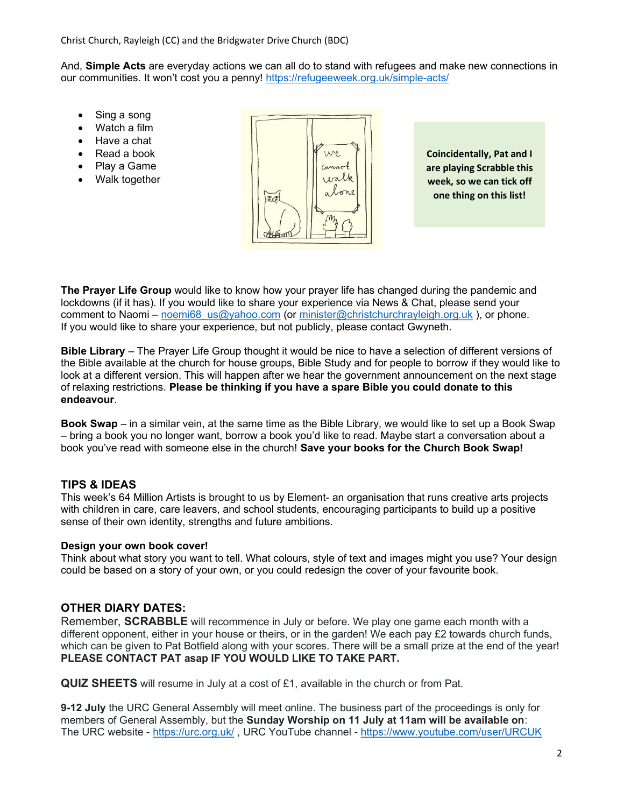And, Simple Acts are everyday actions we can all do to stand with refugees and make new connections in our communities. It won't cost you a penny! https://refugeeweek.org.uk/simple-acts/

- Sing a song
- Watch a film
- Have a chat
- Read a book
- Play a Game
- Walk together



Coincidentally, Pat and I are playing Scrabble this week, so we can tick off one thing on this list!

The Prayer Life Group would like to know how your prayer life has changed during the pandemic and lockdowns (if it has). If you would like to share your experience via News & Chat, please send your comment to Naomi – noemi68\_us@yahoo.com (or minister@christchurchrayleigh.org.uk), or phone. If you would like to share your experience, but not publicly, please contact Gwyneth.

Bible Library – The Prayer Life Group thought it would be nice to have a selection of different versions of the Bible available at the church for house groups, Bible Study and for people to borrow if they would like to look at a different version. This will happen after we hear the government announcement on the next stage of relaxing restrictions. Please be thinking if you have a spare Bible you could donate to this endeavour.

Book Swap – in a similar vein, at the same time as the Bible Library, we would like to set up a Book Swap – bring a book you no longer want, borrow a book you'd like to read. Maybe start a conversation about a book you've read with someone else in the church! Save your books for the Church Book Swap!

### TIPS & IDEAS

This week's 64 Million Artists is brought to us by Element- an organisation that runs creative arts projects with children in care, care leavers, and school students, encouraging participants to build up a positive sense of their own identity, strengths and future ambitions.

### Design your own book cover!

Think about what story you want to tell. What colours, style of text and images might you use? Your design could be based on a story of your own, or you could redesign the cover of your favourite book.

# OTHER DIARY DATES:

Remember, **SCRABBLE** will recommence in July or before. We play one game each month with a different opponent, either in your house or theirs, or in the garden! We each pay £2 towards church funds, which can be given to Pat Botfield along with your scores. There will be a small prize at the end of the year! PLEASE CONTACT PAT asap IF YOU WOULD LIKE TO TAKE PART.

QUIZ SHEETS will resume in July at a cost of £1, available in the church or from Pat.

9-12 July the URC General Assembly will meet online. The business part of the proceedings is only for members of General Assembly, but the Sunday Worship on 11 July at 11am will be available on: The URC website - https://urc.org.uk/ , URC YouTube channel - https://www.youtube.com/user/URCUK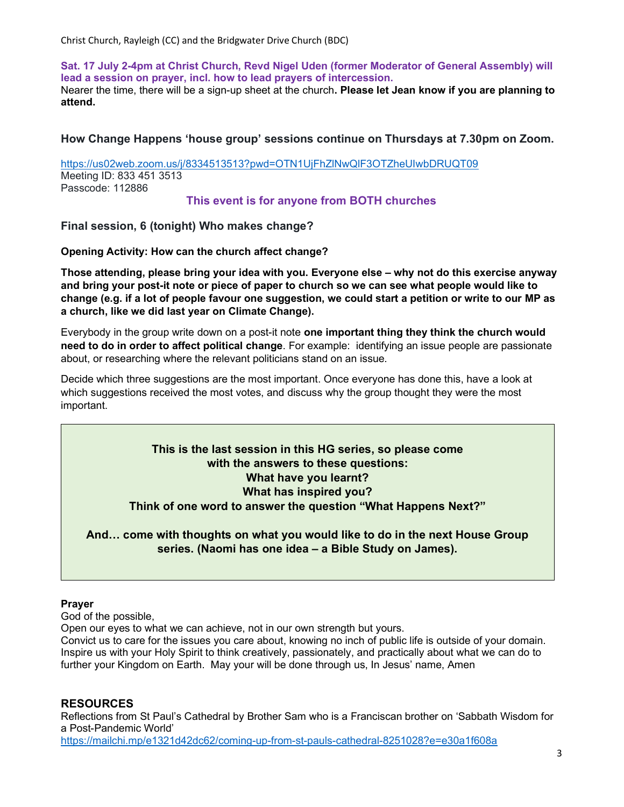Sat. 17 July 2-4pm at Christ Church, Revd Nigel Uden (former Moderator of General Assembly) will lead a session on prayer, incl. how to lead prayers of intercession. Nearer the time, there will be a sign-up sheet at the church. Please let Jean know if you are planning to attend.

How Change Happens 'house group' sessions continue on Thursdays at 7.30pm on Zoom.

https://us02web.zoom.us/j/8334513513?pwd=OTN1UjFhZlNwQlF3OTZheUIwbDRUQT09 Meeting ID: 833 451 3513 Passcode: 112886

### This event is for anyone from BOTH churches

Final session, 6 (tonight) Who makes change?

Opening Activity: How can the church affect change?

Those attending, please bring your idea with you. Everyone else – why not do this exercise anyway and bring your post-it note or piece of paper to church so we can see what people would like to change (e.g. if a lot of people favour one suggestion, we could start a petition or write to our MP as a church, like we did last year on Climate Change).

Everybody in the group write down on a post-it note one important thing they think the church would need to do in order to affect political change. For example: identifying an issue people are passionate about, or researching where the relevant politicians stand on an issue.

Decide which three suggestions are the most important. Once everyone has done this, have a look at which suggestions received the most votes, and discuss why the group thought they were the most important.

# This is the last session in this HG series, so please come with the answers to these questions: What have you learnt? What has inspired you? Think of one word to answer the question "What Happens Next?"

And… come with thoughts on what you would like to do in the next House Group series. (Naomi has one idea – a Bible Study on James).

### Prayer

God of the possible,

Open our eyes to what we can achieve, not in our own strength but yours.

Convict us to care for the issues you care about, knowing no inch of public life is outside of your domain. Inspire us with your Holy Spirit to think creatively, passionately, and practically about what we can do to further your Kingdom on Earth. May your will be done through us, In Jesus' name, Amen

# RESOURCES

Reflections from St Paul's Cathedral by Brother Sam who is a Franciscan brother on 'Sabbath Wisdom for a Post-Pandemic World' https://mailchi.mp/e1321d42dc62/coming-up-from-st-pauls-cathedral-8251028?e=e30a1f608a